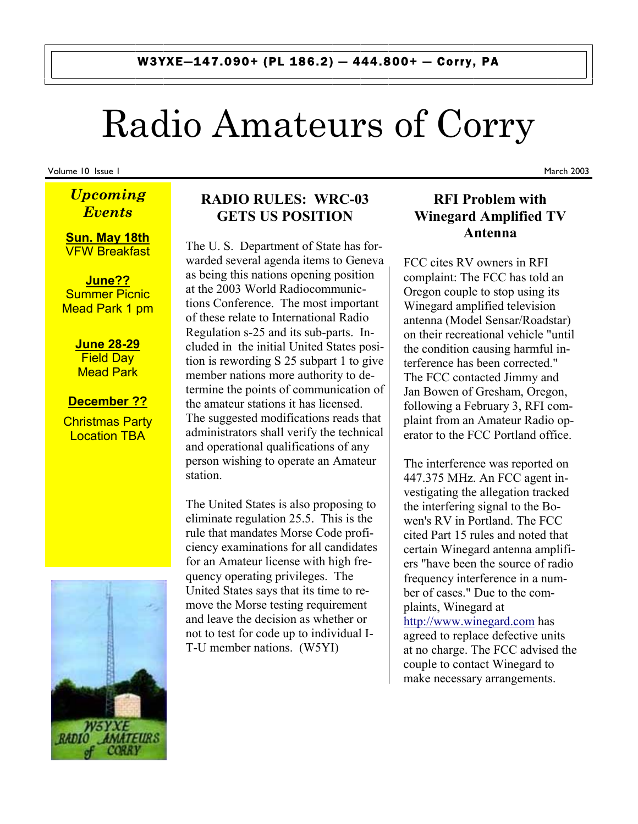# Radio Amateurs of Corry

Volume 10 Issue 1

## *Upcoming Events*

**Sun. May 18th** VFW Breakfast

**June??** Summer Picnic Mead Park 1 pm

> **June 28-29**  Field Day Mead Park

## **December ??**

Christmas Party Location TBA



### **RADIO RULES: WRC-03 GETS US POSITION**

The U. S. Department of State has forwarded several agenda items to Geneva as being this nations opening position at the 2003 World Radiocommunictions Conference. The most important of these relate to International Radio Regulation s-25 and its sub-parts. Included in the initial United States position is rewording S 25 subpart 1 to give member nations more authority to determine the points of communication of the amateur stations it has licensed. The suggested modifications reads that administrators shall verify the technical and operational qualifications of any person wishing to operate an Amateur station.

The United States is also proposing to eliminate regulation 25.5. This is the rule that mandates Morse Code proficiency examinations for all candidates for an Amateur license with high frequency operating privileges. The United States says that its time to remove the Morse testing requirement and leave the decision as whether or not to test for code up to individual I-T-U member nations. (W5YI)

## **RFI Problem with Winegard Amplified TV Antenna**

FCC cites RV owners in RFI complaint: The FCC has told an Oregon couple to stop using its Winegard amplified television antenna (Model Sensar/Roadstar) on their recreational vehicle "until the condition causing harmful interference has been corrected." The FCC contacted Jimmy and Jan Bowen of Gresham, Oregon, following a February 3, RFI complaint from an Amateur Radio operator to the FCC Portland office.

The interference was reported on 447.375 MHz. An FCC agent investigating the allegation tracked the interfering signal to the Bowen's RV in Portland. The FCC cited Part 15 rules and noted that certain Winegard antenna amplifiers "have been the source of radio frequency interference in a number of cases." Due to the complaints, Winegard at http://www.winegard.com has agreed to replace defective units at no charge. The FCC advised the couple to contact Winegard to make necessary arrangements.

March 2003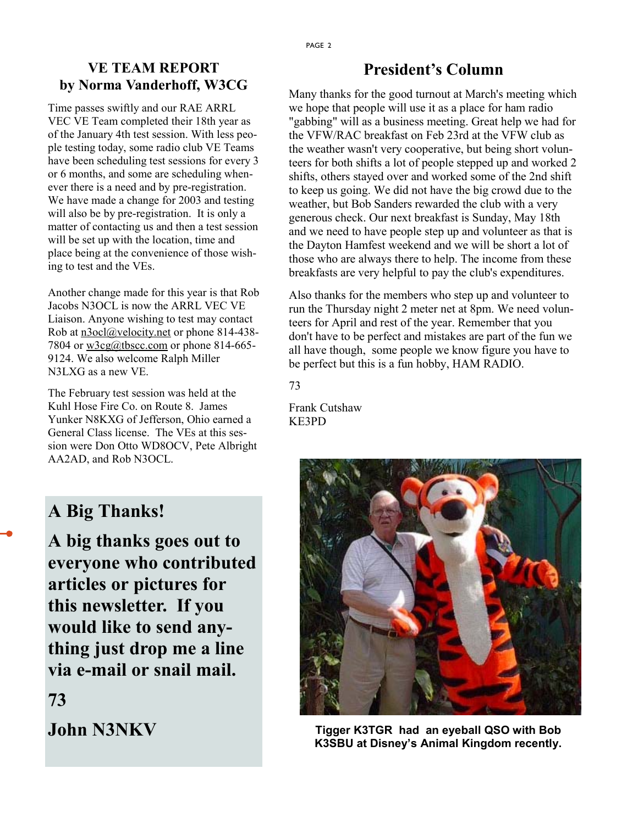## **VE TEAM REPORT by Norma Vanderhoff, W3CG**

Time passes swiftly and our RAE ARRL VEC VE Team completed their 18th year as of the January 4th test session. With less people testing today, some radio club VE Teams have been scheduling test sessions for every 3 or 6 months, and some are scheduling whenever there is a need and by pre-registration. We have made a change for 2003 and testing will also be by pre-registration. It is only a matter of contacting us and then a test session will be set up with the location, time and place being at the convenience of those wishing to test and the VEs.

Another change made for this year is that Rob Jacobs N3OCL is now the ARRL VEC VE Liaison. Anyone wishing to test may contact Rob at n3ocl@velocity.net or phone 814-438-7804 or w3cg@tbscc.com or phone 814-665- 9124. We also welcome Ralph Miller N3LXG as a new VE.

The February test session was held at the Kuhl Hose Fire Co. on Route 8. James Yunker N8KXG of Jefferson, Ohio earned a General Class license. The VEs at this session were Don Otto WD8OCV, Pete Albright AA2AD, and Rob N3OCL.

## **A Big Thanks!**

**A big thanks goes out to everyone who contributed articles or pictures for this newsletter. If you would like to send anything just drop me a line via e-mail or snail mail.** 

## **73**

**John N3NKV**

## **President's Column**

Many thanks for the good turnout at March's meeting which we hope that people will use it as a place for ham radio "gabbing" will as a business meeting. Great help we had for the VFW/RAC breakfast on Feb 23rd at the VFW club as the weather wasn't very cooperative, but being short volunteers for both shifts a lot of people stepped up and worked 2 shifts, others stayed over and worked some of the 2nd shift to keep us going. We did not have the big crowd due to the weather, but Bob Sanders rewarded the club with a very generous check. Our next breakfast is Sunday, May 18th and we need to have people step up and volunteer as that is the Dayton Hamfest weekend and we will be short a lot of those who are always there to help. The income from these breakfasts are very helpful to pay the club's expenditures.

Also thanks for the members who step up and volunteer to run the Thursday night 2 meter net at 8pm. We need volunteers for April and rest of the year. Remember that you don't have to be perfect and mistakes are part of the fun we all have though, some people we know figure you have to be perfect but this is a fun hobby, HAM RADIO.

#### 73

Frank Cutshaw KE3PD



**Tigger K3TGR had an eyeball QSO with Bob K3SBU at Disney's Animal Kingdom recently.**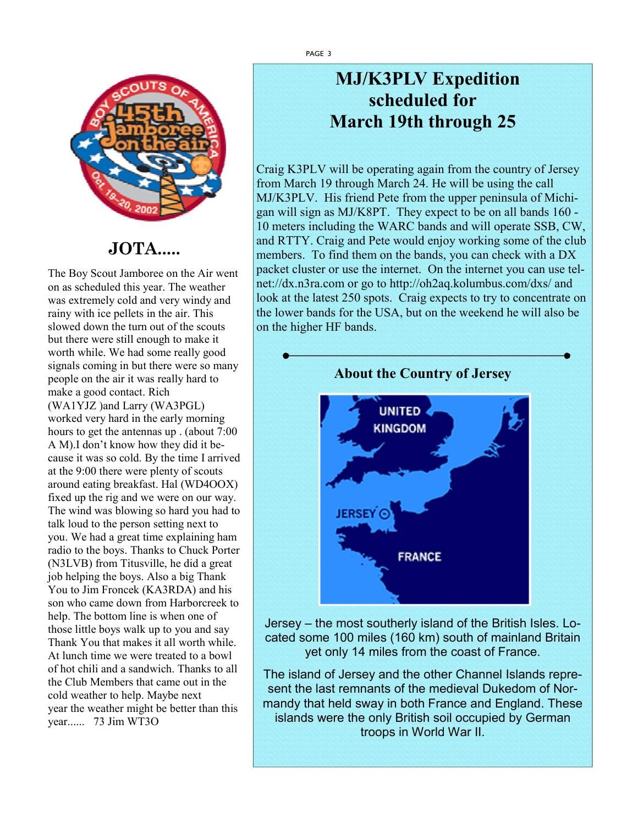

## **JOTA.....**

The Boy Scout Jamboree on the Air went on as scheduled this year. The weather was extremely cold and very windy and rainy with ice pellets in the air. This slowed down the turn out of the scouts but there were still enough to make it worth while. We had some really good signals coming in but there were so many people on the air it was really hard to make a good contact. Rich (WA1YJZ )and Larry (WA3PGL) worked very hard in the early morning hours to get the antennas up . (about 7:00 A M).I don't know how they did it because it was so cold. By the time I arrived at the 9:00 there were plenty of scouts around eating breakfast. Hal (WD4OOX) fixed up the rig and we were on our way. The wind was blowing so hard you had to talk loud to the person setting next to you. We had a great time explaining ham radio to the boys. Thanks to Chuck Porter (N3LVB) from Titusville, he did a great job helping the boys. Also a big Thank You to Jim Froncek (KA3RDA) and his son who came down from Harborcreek to help. The bottom line is when one of those little boys walk up to you and say Thank You that makes it all worth while. At lunch time we were treated to a bowl of hot chili and a sandwich. Thanks to all the Club Members that came out in the cold weather to help. Maybe next year the weather might be better than this year...... 73 Jim WT3O

## **MJ/K3PLV Expedition scheduled for March 19th through 25**

Craig K3PLV will be operating again from the country of Jersey from March 19 through March 24. He will be using the call MJ/K3PLV. His friend Pete from the upper peninsula of Michigan will sign as MJ/K8PT. They expect to be on all bands 160 - 10 meters including the WARC bands and will operate SSB, CW, and RTTY. Craig and Pete would enjoy working some of the club members. To find them on the bands, you can check with a DX packet cluster or use the internet. On the internet you can use telnet://dx.n3ra.com or go to http://oh2aq.kolumbus.com/dxs/ and look at the latest 250 spots. Craig expects to try to concentrate on the lower bands for the USA, but on the weekend he will also be on the higher HF bands.



Jersey – the most southerly island of the British Isles. Located some 100 miles (160 km) south of mainland Britain yet only 14 miles from the coast of France.

The island of Jersey and the other Channel Islands represent the last remnants of the medieval Dukedom of Normandy that held sway in both France and England. These islands were the only British soil occupied by German troops in World War II.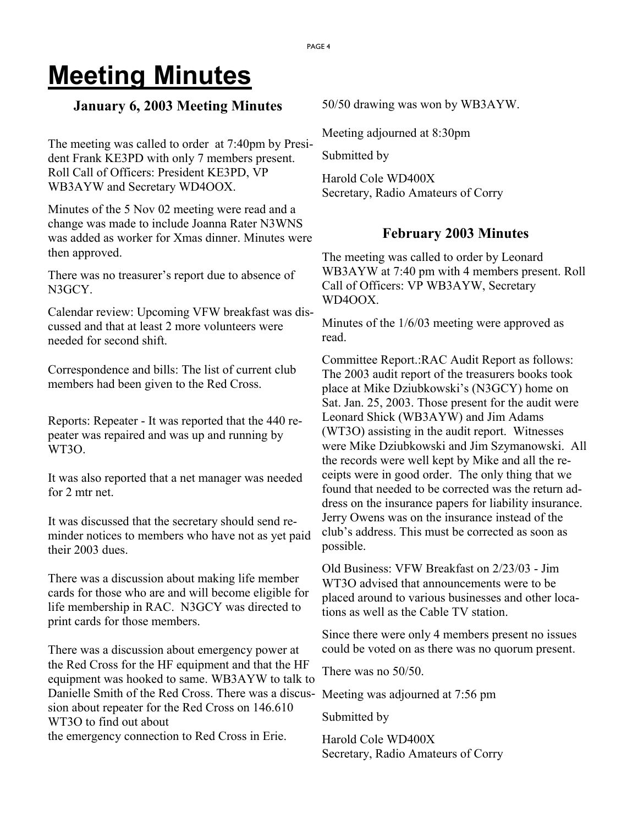## **Meeting Minutes**

### **January 6, 2003 Meeting Minutes**

The meeting was called to order at 7:40pm by President Frank KE3PD with only 7 members present. Roll Call of Officers: President KE3PD, VP WB3AYW and Secretary WD4OOX.

Minutes of the 5 Nov 02 meeting were read and a change was made to include Joanna Rater N3WNS was added as worker for Xmas dinner. Minutes were then approved.

There was no treasurer's report due to absence of N3GCY.

Calendar review: Upcoming VFW breakfast was discussed and that at least 2 more volunteers were needed for second shift.

Correspondence and bills: The list of current club members had been given to the Red Cross.

Reports: Repeater - It was reported that the 440 repeater was repaired and was up and running by WT3O.

It was also reported that a net manager was needed for 2 mtr net.

It was discussed that the secretary should send reminder notices to members who have not as yet paid their 2003 dues.

There was a discussion about making life member cards for those who are and will become eligible for life membership in RAC. N3GCY was directed to print cards for those members.

There was a discussion about emergency power at the Red Cross for the HF equipment and that the HF equipment was hooked to same. WB3AYW to talk to Danielle Smith of the Red Cross. There was a discus-Meeting was adjourned at 7:56 pm sion about repeater for the Red Cross on 146.610 WT3O to find out about the emergency connection to Red Cross in Erie.

50/50 drawing was won by WB3AYW.

Meeting adjourned at 8:30pm

Submitted by

Harold Cole WD400X Secretary, Radio Amateurs of Corry

## **February 2003 Minutes**

The meeting was called to order by Leonard WB3AYW at 7:40 pm with 4 members present. Roll Call of Officers: VP WB3AYW, Secretary WD4OOX.

Minutes of the 1/6/03 meeting were approved as read.

Committee Report.:RAC Audit Report as follows: The 2003 audit report of the treasurers books took place at Mike Dziubkowski's (N3GCY) home on Sat. Jan. 25, 2003. Those present for the audit were Leonard Shick (WB3AYW) and Jim Adams (WT3O) assisting in the audit report. Witnesses were Mike Dziubkowski and Jim Szymanowski. All the records were well kept by Mike and all the receipts were in good order. The only thing that we found that needed to be corrected was the return address on the insurance papers for liability insurance. Jerry Owens was on the insurance instead of the club's address. This must be corrected as soon as possible.

Old Business: VFW Breakfast on 2/23/03 - Jim WT3O advised that announcements were to be placed around to various businesses and other locations as well as the Cable TV station.

Since there were only 4 members present no issues could be voted on as there was no quorum present.

There was no 50/50.

Submitted by

Harold Cole WD400X Secretary, Radio Amateurs of Corry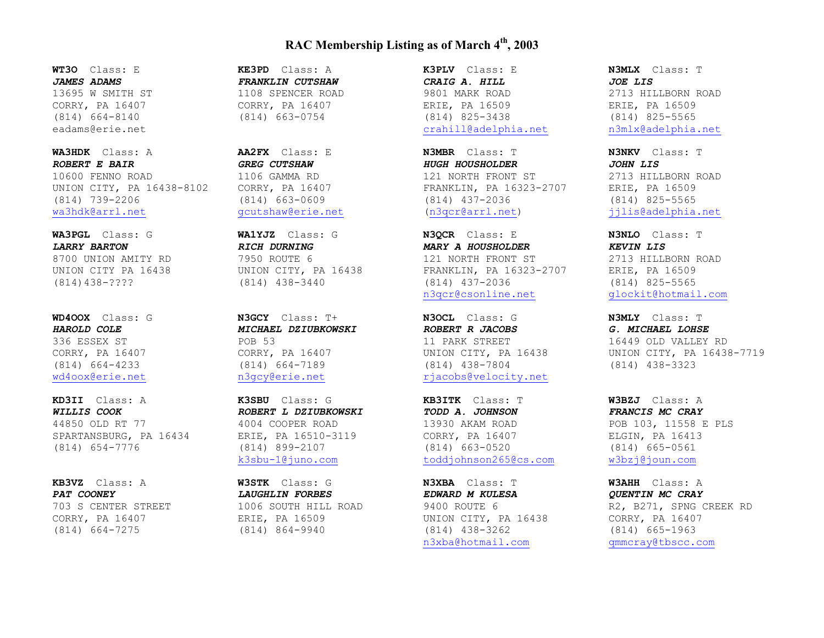#### **RAC Membership Listing as of March 4th, 2003**

**WT3O** Class: E *JAMES ADAMS* 13695 W SMITH ST CORRY, PA 16407 (814) 664-8140 eadams@erie.net

**WA3HDK** Class: A *ROBERT E BAIR* 10600 FENNO ROAD UNION CITY, PA 16438-8102 (814) 739-2206 wa3hdk@arrl.net

**WA3PGL** Class: G *LARRY BARTON* 8700 UNION AMITY RD UNION CITY PA 16438 (814)438-????

**WD4OOX** Class: G *HAROLD COLE* 336 ESSEX ST CORRY, PA 16407 (814) 664-4233 wd4oox@erie.net

**KD3II** Class: A *WILLIS COOK* 44850 OLD RT 77 SPARTANSBURG, PA 16434 (814) 654-7776

**KB3VZ** Class: A *PAT COONEY* 703 S CENTER STREET CORRY, PA 16407 (814) 664-7275

**KE3PD** Class: A *FRANKLIN CUTSHAW* 

1108 SPENCER ROAD CORRY, PA 16407 (814) 663-0754

**AA2FX** Class: E *GREG CUTSHAW* 1106 GAMMA RD CORRY, PA 16407 (814) 663-0609 gcutshaw@erie.net

**WA1YJZ** Class: G *RICH DURNING* 7950 ROUTE 6 UNION CITY, PA 16438 (814) 438-3440

**N3GCY** Class: T+ *MICHAEL DZIUBKOWSKI* POB 53 CORRY, PA 16407 (814) 664-7189 n3gcy@erie.net

**K3SBU** Class: G *ROBERT L DZIUBKOWSKI* 4004 COOPER ROAD ERIE, PA 16510-3119 (814) 899-2107 k3sbu-1@juno.com

**W3STK** Class: G *LAUGHLIN FORBES* 1006 SOUTH HILL ROAD ERIE, PA 16509 (814) 864-9940

**K3PLV** Class: E *CRAIG A. HILL* 9801 MARK ROAD ERIE, PA 16509 (814) 825-3438 crahill@adelphia.net

**N3MBR** Class: T *HUGH HOUSHOLDER* 121 NORTH FRONT ST FRANKLIN, PA 16323-2707 (814) 437-2036 (n3qcr@arrl.net)

**N3QCR** Class: E *MARY A HOUSHOLDER* 121 NORTH FRONT ST FRANKLIN, PA 16323-2707 (814) 437-2036 n3qcr@csonline.net

**N3OCL** Class: G *ROBERT R JACOBS* 11 PARK STREET UNION CITY, PA 16438 (814) 438-7804 rjacobs@velocity.net

**KB3ITK** Class: T *TODD A. JOHNSON* 13930 AKAM ROAD CORRY, PA 16407 (814) 663-0520 toddjohnson265@cs.com

**N3XBA** Class: T *EDWARD M KULESA* 9400 ROUTE 6 UNION CITY, PA 16438 (814) 438-3262 n3xba@hotmail.com

**N3MLX** Class: T *JOE LIS* 2713 HILLBORN ROAD ERIE, PA 16509 (814) 825-5565 n3mlx@adelphia.net

**N3NKV** Class: T *JOHN LIS* 2713 HILLBORN ROAD ERIE, PA 16509 (814) 825-5565 jjlis@adelphia.net

**N3NLO** Class: T *KEVIN LIS* 2713 HILLBORN ROAD ERIE, PA 16509 (814) 825-5565 glockit@hotmail.com

**N3MLY** Class: T *G. MICHAEL LOHSE* 16449 OLD VALLEY RD UNION CITY, PA 16438-7719 (814) 438-3323

**W3BZJ** Class: A *FRANCIS MC CRAY* POB 103, 11558 E PLS ELGIN, PA 16413 (814) 665-0561 w3bzj@joun.com

**W3AHH** Class: A *QUENTIN MC CRAY*  R2, B271, SPNG CREEK RD CORRY, PA 16407 (814) 665-1963 qmmcray@tbscc.com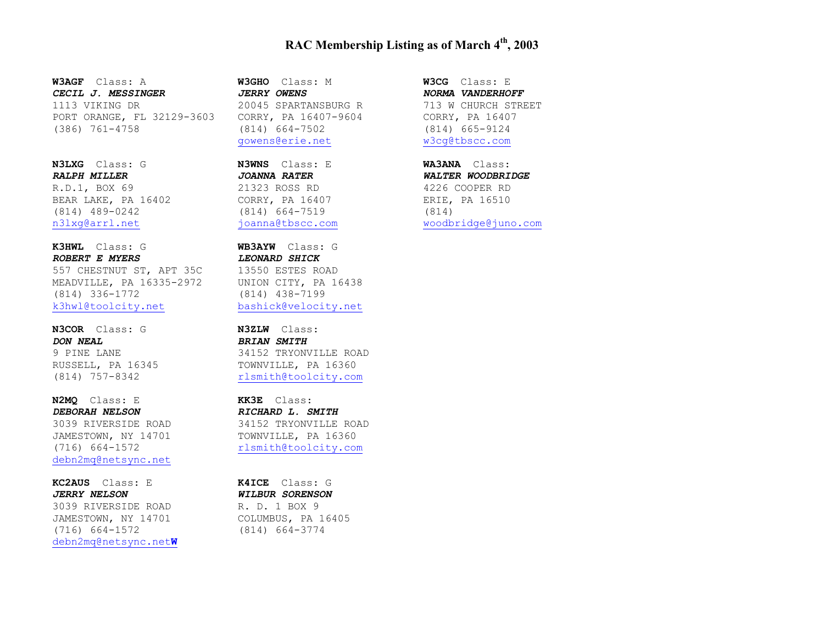#### **RAC Membership Listing as of March 4th, 2003**

**W3AGF** Class: A *CECIL J. MESSINGER* 1113 VIKING DR PORT ORANGE, FL 32129-3603 (386) 761-4758

**N3LXG** Class: G *RALPH MILLER* R.D.1, BOX 69 BEAR LAKE, PA 16402 (814) 489-0242 n3lxg@arrl.net

**K3HWL** Class: G *ROBERT E MYERS*  557 CHESTNUT ST, APT 35C MEADVILLE, PA 16335-2972 (814) 336-1772 k3hwl@toolcity.net

**N3COR** Class: G *DON NEAL* 9 PINE LANE RUSSELL, PA 16345 (814) 757-8342

**N2MQ** Class: E *DEBORAH NELSON* 3039 RIVERSIDE ROAD JAMESTOWN, NY 14701 (716) 664-1572 debn2mq@netsync.net

**KC2AUS** Class: E *JERRY NELSON* 3039 RIVERSIDE ROAD JAMESTOWN, NY 14701 (716) 664-1572 debn2mq@netsync.net**W** **W3GHO** Class: M *JERRY OWENS* 20045 SPARTANSBURG R CORRY, PA 16407-9604 (814) 664-7502 gowens@erie.net

**N3WNS** Class: E *JOANNA RATER* 21323 ROSS RD CORRY, PA 16407 (814) 664-7519 joanna@tbscc.com

**WB3AYW** Class: G *LEONARD SHICK* 13550 ESTES ROAD UNION CITY, PA 16438 (814) 438-7199 bashick@velocity.net

**N3ZLW** Class: *BRIAN SMITH*  34152 TRYONVILLE ROAD TOWNVILLE, PA 16360 rlsmith@toolcity.com

**KK3E** Class: *RICHARD L. SMITH* 34152 TRYONVILLE ROAD TOWNVILLE, PA 16360 rlsmith@toolcity.com

**K4ICE** Class: G *WILBUR SORENSON* R. D. 1 BOX 9 COLUMBUS, PA 16405 (814) 664-3774

**W3CG** Class: E *NORMA VANDERHOFF* 713 W CHURCH STREET CORRY, PA 16407 (814) 665-9124 w3cg@tbscc.com

**WA3ANA** Class: *WALTER WOODBRIDGE* 4226 COOPER RD ERIE, PA 16510 (814) woodbridge@juno.com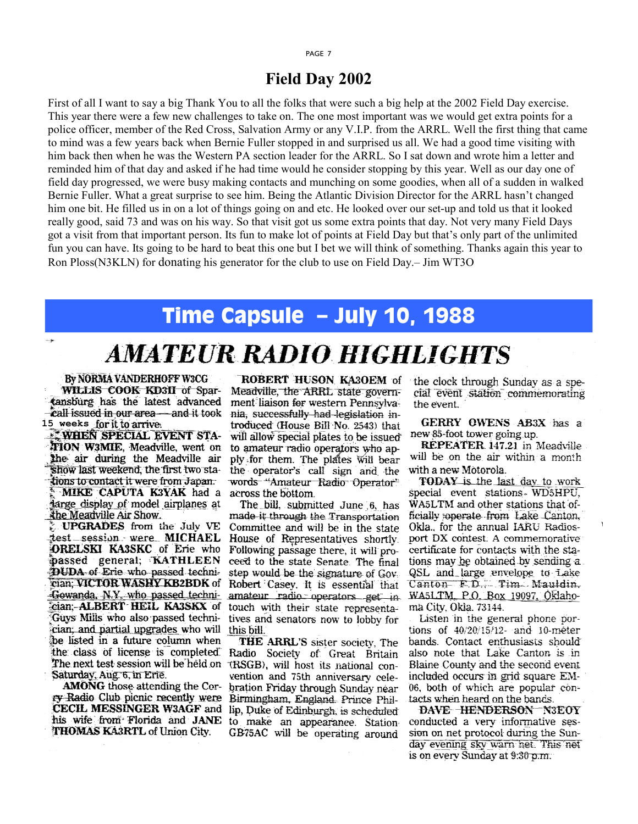#### PAGE 7

## **Field Day 2002**

First of all I want to say a big Thank You to all the folks that were such a big help at the 2002 Field Day exercise. This year there were a few new challenges to take on. The one most important was we would get extra points for a police officer, member of the Red Cross, Salvation Army or any V.I.P. from the ARRL. Well the first thing that came to mind was a few years back when Bernie Fuller stopped in and surprised us all. We had a good time visiting with him back then when he was the Western PA section leader for the ARRL. So I sat down and wrote him a letter and reminded him of that day and asked if he had time would he consider stopping by this year. Well as our day one of field day progressed, we were busy making contacts and munching on some goodies, when all of a sudden in walked Bernie Fuller. What a great surprise to see him. Being the Atlantic Division Director for the ARRL hasn't changed him one bit. He filled us in on a lot of things going on and etc. He looked over our set-up and told us that it looked really good, said 73 and was on his way. So that visit got us some extra points that day. Not very many Field Days got a visit from that important person. Its fun to make lot of points at Field Day but that's only part of the unlimited fun you can have. Its going to be hard to beat this one but I bet we will think of something. Thanks again this year to Ron Ploss(N3KLN) for donating his generator for the club to use on Field Day.– Jim WT3O

## Time Capsule – July 10, 1988

## **AMATEUR RADIO HIGHLIGHTS**

By NORMA VANDERHOFF W3CG WILLIS COOK KD3II of Spartansburg has the latest advanced **call issued in our area** and it took **15 weeks** 

**WHEN SPECIAL EVENT STA-**TION W3MIE, Meadville, went on the air during the Meadville air show last weekend, the first two stations to contact it were from Japan. **MIKE CAPUTA K3YAK** had a targe display of model airplanes at the Meadville Air Show.

UPGRADES from the July VE test session were MICHAEL **ORELSKI KA3SKC** of Erie who passed general; KATHLEEN DUDA of Erie who passed technician: VICTOR WASHY KB2BDK of Gowanda, N.Y. who passed technieian; **ALBERT HEIL KA3SKX** of Guys Mills who also passed technician, and partial upgrades who will be listed in a future column when the class of license is completed. The next test session will be held on Saturday, Aug. 6, in Erie.

**AMONG** those attending the Corry Radio Club picnic recently were CECIL MESSINGER W3AGF and his wife from Florida and JANE THOMAS KA3RTL of Union City.

ROBERT HUSON KA3OEM of Meadville, the ARRL state government liaison for western Pennsylvania, successfully had legislation introduced (House Bill No. 2543) that will allow special plates to be issued to amateur radio operators who apply for them. The plates will bear the operator's call sign and the words "Amateur Radio Operator" across the bottom.

The bill, submitted June 6, has made it through the Transportation Committee and will be in the state House of Representatives shortly. Following passage there, it will proceed to the state Senate. The final step would be the signature of Gov. Robert Casey, It is essential that amateur radio operators get in touch with their state representatives and senators now to lobby for this bill.

THE ARRL'S sister society. The Radio Society of Great Britain TRSGB), will host its national convention and 75th anniversary celebration Friday through Sunday near Birmingham, England Prince Phillip, Duke of Edinburgh, is scheduled to make an appearance. Station-GB75AC will be operating around

the clock through Sunday as a special event station commemorating the event.

GERRY OWENS AB3X has a new 85-foot tower going up.

REPEATER 147.21 in Meadville will be on the air within a month with a new Motorola.

**TODAY** is the last day to work special event stations WD5HPU, WA5LTM and other stations that officially soperate from Lake Canton, Okla., for the annual IARU Radiosport DX contest. A commemorative certificate for contacts with the stations may be obtained by sending a QSL and large envelope to Lake Canton F.D., Tim Mauldin. WA5LTM P.O. Box 19097, Oklahoma City, Okla. 73144.

Listen in the general phone portions of 40/20/15/12- and 10-meter bands. Contact enthusiasts should also note that Lake Canton is in Blaine County and the second event included occurs in grid square EM-06, both of which are popular contacts when heard on the bands.

DAVE HENDERSON N3EOY conducted a very informative session on net protocol during the Sunday evening sky warn net. This net is on every Sunday at 9:30 p.m.